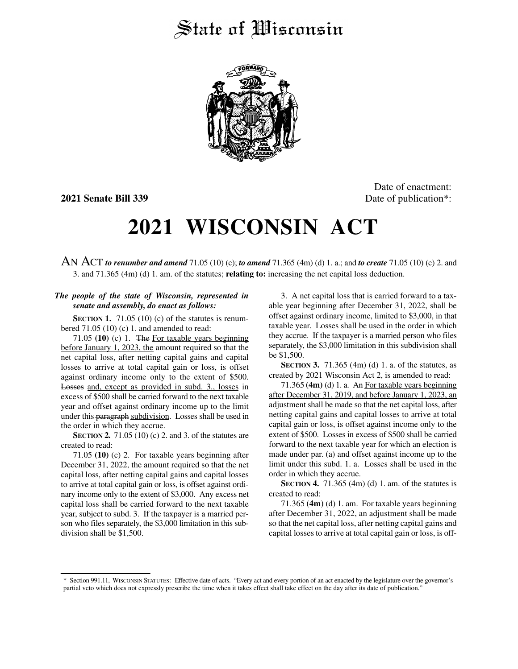## State of *Wisconsin*



Date of enactment: **2021 Senate Bill 339** Date of publication<sup>\*</sup>:

## **2021 WISCONSIN ACT**

AN ACT *to renumber and amend* 71.05 (10) (c); *to amend* 71.365 (4m) (d) 1. a.; and *to create* 71.05 (10) (c) 2. and 3. and 71.365 (4m) (d) 1. am. of the statutes; **relating to:** increasing the net capital loss deduction.

## *The people of the state of Wisconsin, represented in senate and assembly, do enact as follows:*

**SECTION 1.** 71.05 (10) (c) of the statutes is renumbered  $71.05(10)(c)$  1. and amended to read:

71.05 **(10)** (c) 1. The For taxable years beginning before January 1, 2023, the amount required so that the net capital loss, after netting capital gains and capital losses to arrive at total capital gain or loss, is offset against ordinary income only to the extent of \$500. Losses and, except as provided in subd. 3., losses in excess of \$500 shall be carried forward to the next taxable year and offset against ordinary income up to the limit under this paragraph subdivision. Losses shall be used in the order in which they accrue.

**SECTION 2.** 71.05 (10) (c) 2. and 3. of the statutes are created to read:

71.05 **(10)** (c) 2. For taxable years beginning after December 31, 2022, the amount required so that the net capital loss, after netting capital gains and capital losses to arrive at total capital gain or loss, is offset against ordinary income only to the extent of \$3,000. Any excess net capital loss shall be carried forward to the next taxable year, subject to subd. 3. If the taxpayer is a married person who files separately, the \$3,000 limitation in this subdivision shall be \$1,500.

3. A net capital loss that is carried forward to a taxable year beginning after December 31, 2022, shall be offset against ordinary income, limited to \$3,000, in that taxable year. Losses shall be used in the order in which they accrue. If the taxpayer is a married person who files separately, the \$3,000 limitation in this subdivision shall be \$1,500.

**SECTION 3.** 71.365 (4m) (d) 1. a. of the statutes, as created by 2021 Wisconsin Act 2, is amended to read:

71.365 **(4m)** (d) 1. a. An For taxable years beginning after December 31, 2019, and before January 1, 2023, an adjustment shall be made so that the net capital loss, after netting capital gains and capital losses to arrive at total capital gain or loss, is offset against income only to the extent of \$500. Losses in excess of \$500 shall be carried forward to the next taxable year for which an election is made under par. (a) and offset against income up to the limit under this subd. 1. a. Losses shall be used in the order in which they accrue.

**SECTION 4.** 71.365 (4m) (d) 1. am. of the statutes is created to read:

71.365 **(4m)** (d) 1. am. For taxable years beginning after December 31, 2022, an adjustment shall be made so that the net capital loss, after netting capital gains and capital losses to arrive at total capital gain or loss, is off-

<sup>\*</sup> Section 991.11, WISCONSIN STATUTES: Effective date of acts. "Every act and every portion of an act enacted by the legislature over the governor's partial veto which does not expressly prescribe the time when it takes effect shall take effect on the day after its date of publication."